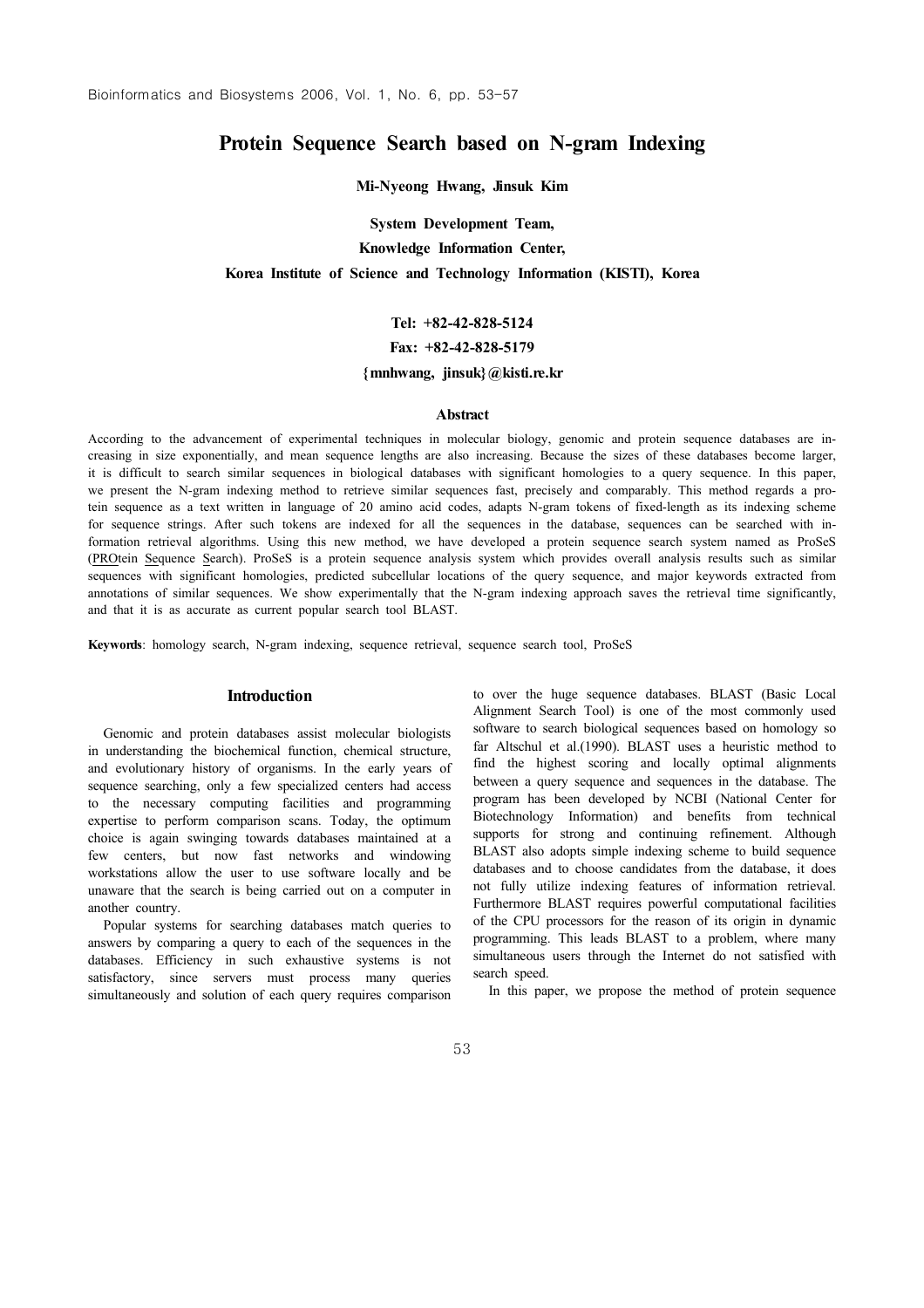# Protein Sequence Search based on N-gram Indexing

Mi-Nyeong Hwang, Jinsuk Kim

System Development Team,

Knowledge Information Center,

Korea Institute of Science and Technology Information (KISTI), Korea

## Tel: +82-42-828-5124

Fax: +82-42-828-5179

## ${mmhwang, jinsuk} @kisti.e.kr$

#### Abstract

According to the advancement of experimental techniques in molecular biology, genomic and protein sequence databases are increasing in size exponentially, and mean sequence lengths are also increasing. Because the sizes of these databases become larger, it is difficult to search similar sequences in biological databases with significant homologies to a query sequence. In this paper, we present the N-gram indexing method to retrieve similar sequences fast, precisely and comparably. This method regards a protein sequence as a text written in language of 20 amino acid codes, adapts N-gram tokens of fixed-length as its indexing scheme for sequence strings. After such tokens are indexed for all the sequences in the database, sequences can be searched with information retrieval algorithms. Using this new method, we have developed a protein sequence search system named as ProSeS (PROtein Sequence Search). ProSeS is a protein sequence analysis system which provides overall analysis results such as similar sequences with significant homologies, predicted subcellular locations of the query sequence, and major keywords extracted from annotations of similar sequences. We show experimentally that the N-gram indexing approach saves the retrieval time significantly, and that it is as accurate as current popular search tool BLAST.

Keywords: homology search, N-gram indexing, sequence retrieval, sequence search tool, ProSeS

## Introduction

Genomic and protein databases assist molecular biologists in understanding the biochemical function, chemical structure, and evolutionary history of organisms. In the early years of sequence searching, only a few specialized centers had access to the necessary computing facilities and programming expertise to perform comparison scans. Today, the optimum choice is again swinging towards databases maintained at a few centers, but now fast networks and windowing workstations allow the user to use software locally and be unaware that the search is being carried out on a computer in another country.

Popular systems for searching databases match queries to answers by comparing a query to each of the sequences in the databases. Efficiency in such exhaustive systems is not satisfactory, since servers must process many queries simultaneously and solution of each query requires comparison to over the huge sequence databases. BLAST (Basic Local Alignment Search Tool) is one of the most commonly used software to search biological sequences based on homology so far Altschul et al.(1990). BLAST uses a heuristic method to find the highest scoring and locally optimal alignments between a query sequence and sequences in the database. The program has been developed by NCBI (National Center for Biotechnology Information) and benefits from technical supports for strong and continuing refinement. Although BLAST also adopts simple indexing scheme to build sequence databases and to choose candidates from the database, it does not fully utilize indexing features of information retrieval. Furthermore BLAST requires powerful computational facilities of the CPU processors for the reason of its origin in dynamic programming. This leads BLAST to a problem, where many simultaneous users through the Internet do not satisfied with search speed.

In this paper, we propose the method of protein sequence

53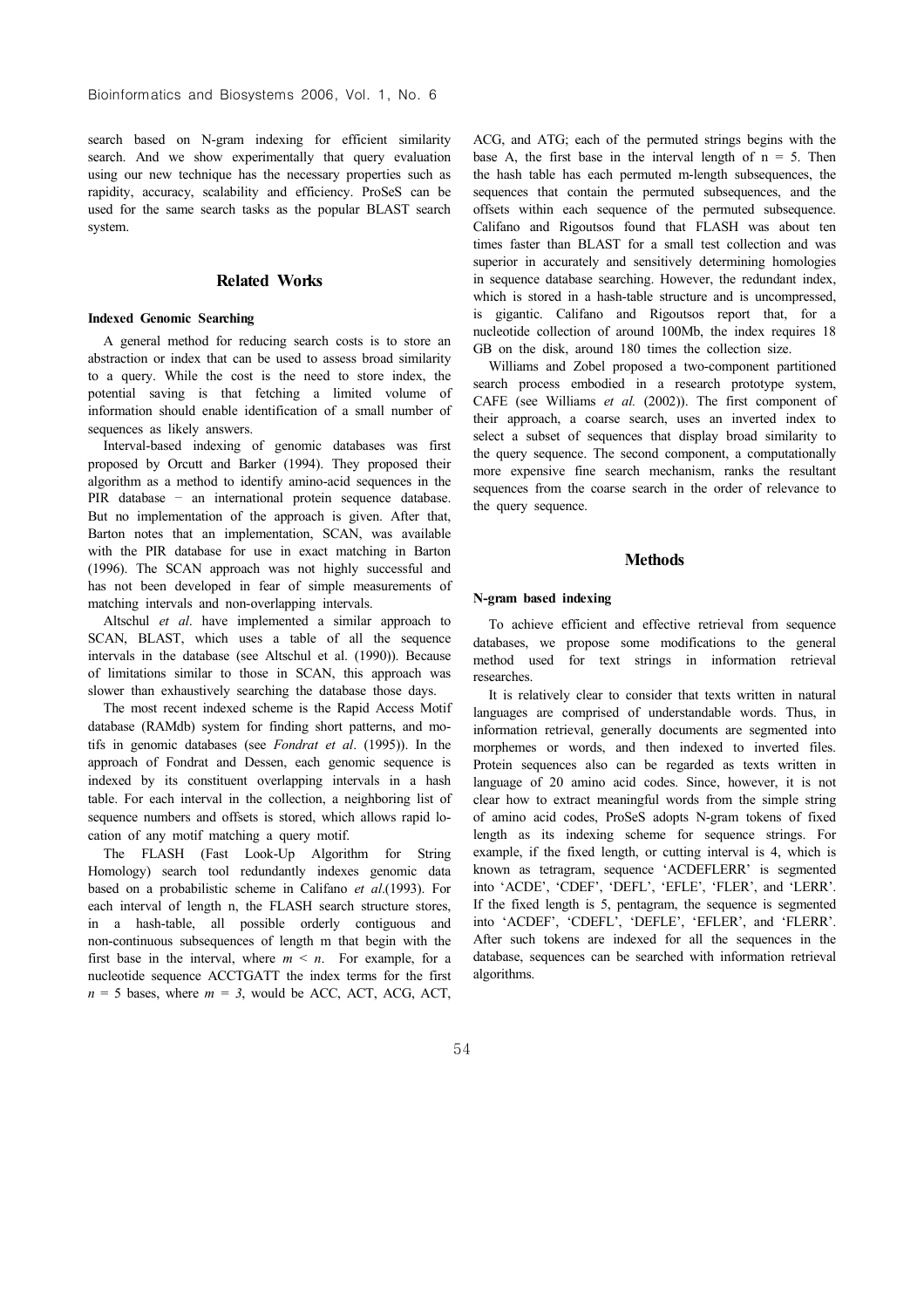search based on N-gram indexing for efficient similarity search. And we show experimentally that query evaluation using our new technique has the necessary properties such as rapidity, accuracy, scalability and efficiency. ProSeS can be used for the same search tasks as the popular BLAST search system.

## Related Works

## Indexed Genomic Searching

A general method for reducing search costs is to store an abstraction or index that can be used to assess broad similarity to a query. While the cost is the need to store index, the potential saving is that fetching a limited volume of information should enable identification of a small number of sequences as likely answers.

Interval-based indexing of genomic databases was first proposed by Orcutt and Barker (1994). They proposed their algorithm as a method to identify amino-acid sequences in the PIR database - an international protein sequence database. But no implementation of the approach is given. After that, Barton notes that an implementation, SCAN, was available with the PIR database for use in exact matching in Barton (1996). The SCAN approach was not highly successful and has not been developed in fear of simple measurements of matching intervals and non-overlapping intervals.

Altschul et al. have implemented a similar approach to SCAN, BLAST, which uses a table of all the sequence intervals in the database (see Altschul et al. (1990)). Because of limitations similar to those in SCAN, this approach was slower than exhaustively searching the database those days.

The most recent indexed scheme is the Rapid Access Motif database (RAMdb) system for finding short patterns, and motifs in genomic databases (see Fondrat et al. (1995)). In the approach of Fondrat and Dessen, each genomic sequence is indexed by its constituent overlapping intervals in a hash table. For each interval in the collection, a neighboring list of sequence numbers and offsets is stored, which allows rapid location of any motif matching a query motif.

The FLASH (Fast Look-Up Algorithm for String Homology) search tool redundantly indexes genomic data based on a probabilistic scheme in Califano et al.(1993). For each interval of length n, the FLASH search structure stores, in a hash-table, all possible orderly contiguous and non-continuous subsequences of length m that begin with the first base in the interval, where  $m \leq n$ . For example, for a nucleotide sequence ACCTGATT the index terms for the first  $n = 5$  bases, where  $m = 3$ , would be ACC, ACT, ACG, ACT, ACG, and ATG; each of the permuted strings begins with the base A, the first base in the interval length of  $n = 5$ . Then the hash table has each permuted m-length subsequences, the sequences that contain the permuted subsequences, and the offsets within each sequence of the permuted subsequence. Califano and Rigoutsos found that FLASH was about ten times faster than BLAST for a small test collection and was superior in accurately and sensitively determining homologies in sequence database searching. However, the redundant index, which is stored in a hash-table structure and is uncompressed, is gigantic. Califano and Rigoutsos report that, for a nucleotide collection of around 100Mb, the index requires 18 GB on the disk, around 180 times the collection size.

Williams and Zobel proposed a two-component partitioned search process embodied in a research prototype system, CAFE (see Williams et al. (2002)). The first component of their approach, a coarse search, uses an inverted index to select a subset of sequences that display broad similarity to the query sequence. The second component, a computationally more expensive fine search mechanism, ranks the resultant sequences from the coarse search in the order of relevance to the query sequence.

## **Methods**

#### N-gram based indexing

To achieve efficient and effective retrieval from sequence databases, we propose some modifications to the general method used for text strings in information retrieval researches.

It is relatively clear to consider that texts written in natural languages are comprised of understandable words. Thus, in information retrieval, generally documents are segmented into morphemes or words, and then indexed to inverted files. Protein sequences also can be regarded as texts written in language of 20 amino acid codes. Since, however, it is not clear how to extract meaningful words from the simple string of amino acid codes, ProSeS adopts N-gram tokens of fixed length as its indexing scheme for sequence strings. For example, if the fixed length, or cutting interval is 4, which is known as tetragram, sequence 'ACDEFLERR' is segmented into 'ACDE', 'CDEF', 'DEFL', 'EFLE', 'FLER', and 'LERR'. If the fixed length is 5, pentagram, the sequence is segmented into 'ACDEF', 'CDEFL', 'DEFLE', 'EFLER', and 'FLERR'. After such tokens are indexed for all the sequences in the database, sequences can be searched with information retrieval algorithms.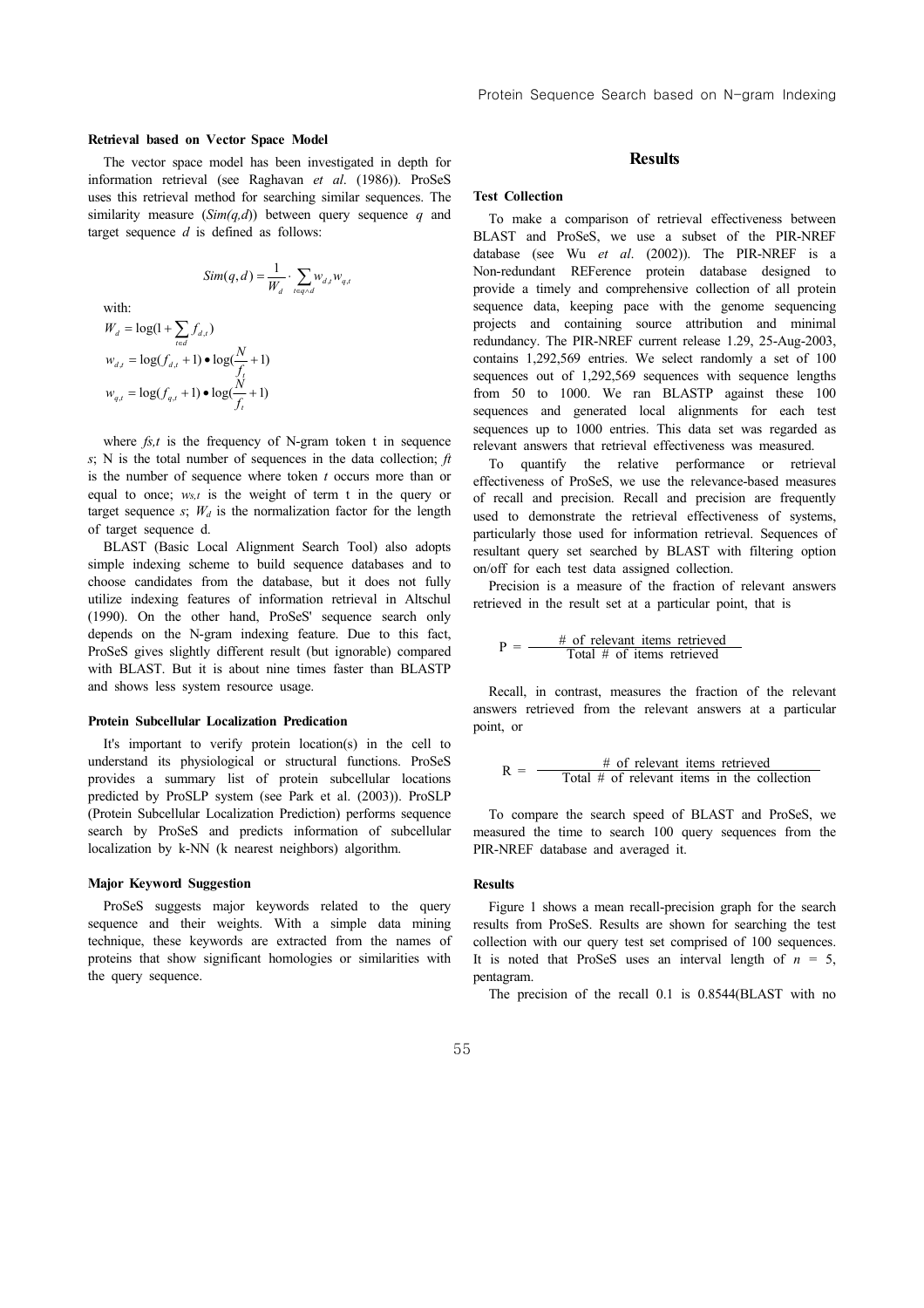#### Retrieval based on Vector Space Model

The vector space model has been investigated in depth for information retrieval (see Raghavan et al. (1986)). ProSeS uses this retrieval method for searching similar sequences. The similarity measure  $(Sim(q,d))$  between query sequence q and target sequence  $d$  is defined as follows:

$$
Sim(q,d) = \frac{1}{W_d} \cdot \sum_{t \in q \wedge d} W_{d,t} W_{q,t}
$$

with:

$$
W_d = \log(1 + \sum_{t \in d} f_{d,t})
$$
  

$$
w_{d,t} = \log(f_{d,t} + 1) \cdot \log(\frac{N}{f_t} + 1)
$$
  

$$
w_{q,t} = \log(f_{q,t} + 1) \cdot \log(\frac{N}{f_t} + 1)
$$

where  $fs, t$  is the frequency of N-gram token t in sequence s; N is the total number of sequences in the data collection;  $\hat{t}$ is the number of sequence where token  $t$  occurs more than or equal to once;  $w_{s,t}$  is the weight of term t in the query or target sequence s;  $W_d$  is the normalization factor for the length of target sequence d.

BLAST (Basic Local Alignment Search Tool) also adopts simple indexing scheme to build sequence databases and to choose candidates from the database, but it does not fully utilize indexing features of information retrieval in Altschul (1990). On the other hand, ProSeS' sequence search only depends on the N-gram indexing feature. Due to this fact, ProSeS gives slightly different result (but ignorable) compared with BLAST. But it is about nine times faster than BLASTP and shows less system resource usage.

#### Protein Subcellular Localization Predication

It's important to verify protein location(s) in the cell to understand its physiological or structural functions. ProSeS provides a summary list of protein subcellular locations predicted by ProSLP system (see Park et al. (2003)). ProSLP (Protein Subcellular Localization Prediction) performs sequence search by ProSeS and predicts information of subcellular localization by k-NN (k nearest neighbors) algorithm.

#### Major Keyword Suggestion

ProSeS suggests major keywords related to the query sequence and their weights. With a simple data mining technique, these keywords are extracted from the names of proteins that show significant homologies or similarities with the query sequence.

## **Results**

## Test Collection

To make a comparison of retrieval effectiveness between BLAST and ProSeS, we use a subset of the PIR-NREF database (see Wu et al. (2002)). The PIR-NREF is a Non-redundant REFerence protein database designed to provide a timely and comprehensive collection of all protein sequence data, keeping pace with the genome sequencing projects and containing source attribution and minimal redundancy. The PIR-NREF current release 1.29, 25-Aug-2003, contains 1,292,569 entries. We select randomly a set of 100 sequences out of 1,292,569 sequences with sequence lengths from 50 to 1000. We ran BLASTP against these 100 sequences and generated local alignments for each test sequences up to 1000 entries. This data set was regarded as relevant answers that retrieval effectiveness was measured.

To quantify the relative performance or retrieval effectiveness of ProSeS, we use the relevance-based measures of recall and precision. Recall and precision are frequently used to demonstrate the retrieval effectiveness of systems, particularly those used for information retrieval. Sequences of resultant query set searched by BLAST with filtering option on/off for each test data assigned collection.

Precision is a measure of the fraction of relevant answers retrieved in the result set at a particular point, that is

$$
P = \frac{\# \text{ of relevant items retrieved}}{\text{Total } \# \text{ of items retrieved}}
$$

Recall, in contrast, measures the fraction of the relevant answers retrieved from the relevant answers at a particular point, or

$$
R = \frac{\# \text{ of relevant items retrieved}}{\text{Total } \# \text{ of relevant items in the collection}}
$$

To compare the search speed of BLAST and ProSeS, we measured the time to search 100 query sequences from the PIR-NREF database and averaged it.

#### Results

Figure 1 shows a mean recall-precision graph for the search results from ProSeS. Results are shown for searching the test collection with our query test set comprised of 100 sequences. It is noted that ProSeS uses an interval length of  $n = 5$ , pentagram.

The precision of the recall 0.1 is 0.8544(BLAST with no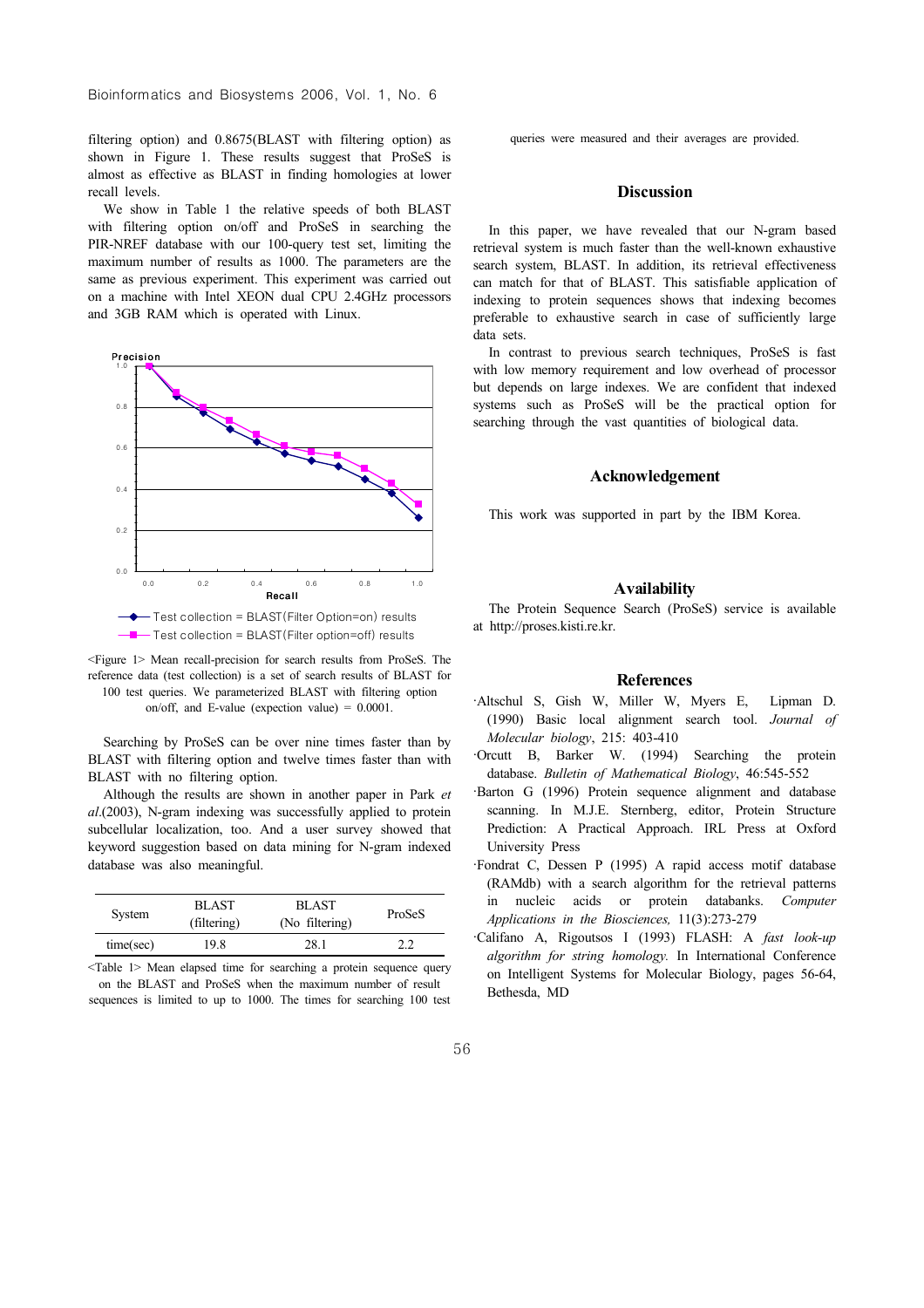filtering option) and 0.8675(BLAST with filtering option) as shown in Figure 1. These results suggest that ProSeS is almost as effective as BLAST in finding homologies at lower recall levels.

We show in Table 1 the relative speeds of both BLAST with filtering option on/off and ProSeS in searching the PIR-NREF database with our 100-query test set, limiting the maximum number of results as 1000. The parameters are the same as previous experiment. This experiment was carried out on a machine with Intel XEON dual CPU 2.4GHz processors and 3GB RAM which is operated with Linux.



<Figure 1> Mean recall-precision for search results from ProSeS. The reference data (test collection) is a set of search results of BLAST for 100 test queries. We parameterized BLAST with filtering option on/off, and E-value (expection value)  $= 0.0001$ .

Searching by ProSeS can be over nine times faster than by BLAST with filtering option and twelve times faster than with BLAST with no filtering option.

Although the results are shown in another paper in Park et  $al(2003)$ . N-gram indexing was successfully applied to protein subcellular localization, too. And a user survey showed that keyword suggestion based on data mining for N-gram indexed database was also meaningful.

| System    | <b>BLAST</b><br>(filtering) | <b>BLAST</b><br>(No filtering) | ProSeS |
|-----------|-----------------------------|--------------------------------|--------|
| time(sec) | 19.8                        | 28.1                           | 2.2    |

<Table 1> Mean elapsed time for searching a protein sequence query on the BLAST and ProSeS when the maximum number of result sequences is limited to up to 1000. The times for searching 100 test queries were measured and their averages are provided.

## **Discussion**

In this paper, we have revealed that our N-gram based retrieval system is much faster than the well-known exhaustive search system, BLAST. In addition, its retrieval effectiveness can match for that of BLAST. This satisfiable application of indexing to protein sequences shows that indexing becomes preferable to exhaustive search in case of sufficiently large data sets.

In contrast to previous search techniques, ProSeS is fast with low memory requirement and low overhead of processor but depends on large indexes. We are confident that indexed systems such as ProSeS will be the practical option for searching through the vast quantities of biological data.

## Acknowledgement

This work was supported in part by the IBM Korea.

## **Availability**

The Protein Sequence Search (ProSeS) service is available at http://proses.kisti.re.kr.

## References

- ∙Altschul S, Gish W, Miller W, Myers E, Lipman D. (1990) Basic local alignment search tool. Journal of Molecular biology, 215: 403-410
- ∙Orcutt B, Barker W. (1994) Searching the protein database. Bulletin of Mathematical Biology, 46:545-552
- ∙Barton G (1996) Protein sequence alignment and database scanning. In M.J.E. Sternberg, editor, Protein Structure Prediction: A Practical Approach. IRL Press at Oxford University Press
- ∙Fondrat C, Dessen P (1995) A rapid access motif database (RAMdb) with a search algorithm for the retrieval patterns in nucleic acids or protein databanks. Computer Applications in the Biosciences, 11(3):273-279
- ∙Califano A, Rigoutsos I (1993) FLASH: A fast look-up algorithm for string homology. In International Conference on Intelligent Systems for Molecular Biology, pages 56-64, Bethesda, MD

56